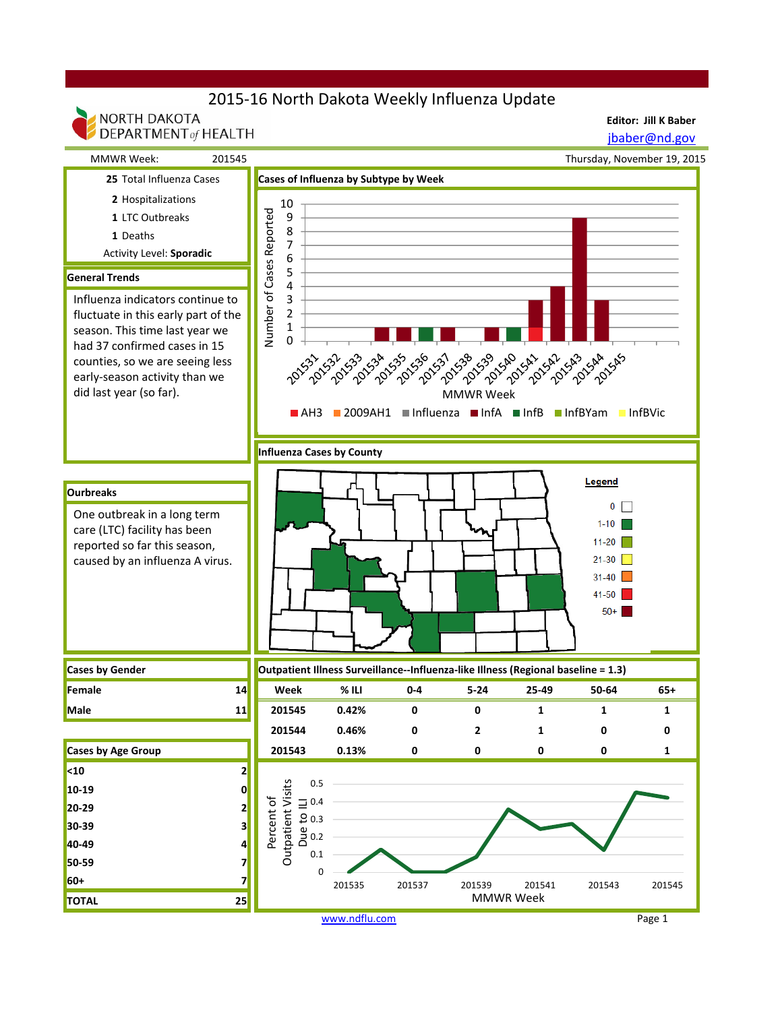# 2015-16 North Dakota Weekly Influenza Update

**Editor: Jill K Baber**



www.ndflu.com Page 1